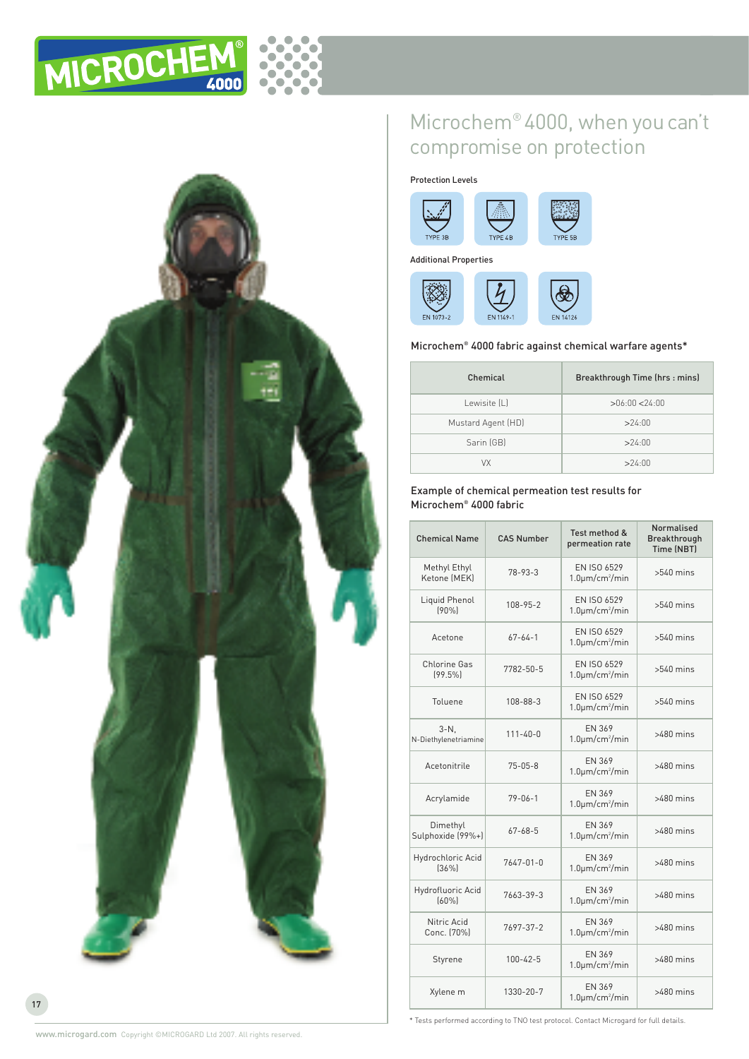



# Microchem® 4000, when youcan't compromise on protection

Protection Levels





Additional Properties



## Microchem® 4000 fabric against chemical warfare agents\*

| Chemical           | Breakthrough Time (hrs: mins) |  |
|--------------------|-------------------------------|--|
| Lewisite [L]       | >06:00 < 24:00                |  |
| Mustard Agent (HD) | >24:00                        |  |
| Sarin (GB)         | >24:00                        |  |
| VX                 | >24:00                        |  |

## Example of chemical permeation test results for Microchem® 4000 fabric

| <b>Chemical Name</b>            | <b>CAS Number</b> | Test method &<br>permeation rate           | <b>Normalised</b><br><b>Breakthrough</b><br><b>Time (NBT)</b> |
|---------------------------------|-------------------|--------------------------------------------|---------------------------------------------------------------|
| Methyl Ethyl<br>Ketone (MEK)    | $78 - 93 - 3$     | EN ISO 6529<br>$1.0 \mu m/cm^2/min$        | $>540$ mins                                                   |
| Liquid Phenol<br>(90%           | $108 - 95 - 2$    | EN ISO 6529<br>$1.0 \mu m/cm^2/min$        | $>540$ mins                                                   |
| Acetone                         | $67 - 64 - 1$     | EN ISO 6529<br>$1.0 \mu m/cm^2/min$        | $>540$ mins                                                   |
| <b>Chlorine Gas</b><br>[99.5%]  | 7782-50-5         | EN ISO 6529<br>$1.0 \mu m/cm^2/min$        | $>540$ mins                                                   |
| Toluene                         | 108-88-3          | <b>EN ISO 6529</b><br>$1.0 \mu m/cm^2/min$ | $>540$ mins                                                   |
| $3-N$ .<br>N-Diethylenetriamine | $111 - 40 - 0$    | EN 369<br>$1.0 \mu m/cm^2/min$             | $>480$ mins                                                   |
| Acetonitrile                    | $75 - 05 - 8$     | EN 369<br>$1.0 \mu m/cm^2/min$             | $>480$ mins                                                   |
| Acrylamide                      | $79 - 06 - 1$     | EN 369<br>$1.0 \mu m/cm^2/min$             | $>480$ mins                                                   |
| Dimethyl<br>Sulphoxide (99%+)   | $67 - 68 - 5$     | EN 369<br>$1.0 \mu m/cm^2/min$             | $>480$ mins                                                   |
| Hydrochloric Acid<br>[36%]      | $7647 - 01 - 0$   | EN 369<br>$1.0 \mu m/cm^2/min$             | $>480$ mins                                                   |
| Hydrofluoric Acid<br>[60%]      | 7663-39-3         | EN 369<br>$1.0 \mu m/cm^2/min$             | $>480$ mins                                                   |
| Nitric Acid<br>Conc. [70%]      | 7697-37-2         | EN 369<br>$1.0 \mu m/cm^2/min$             | $>480$ mins                                                   |
| Styrene                         | $100 - 42 - 5$    | EN 369<br>$1.0 \mu m/cm^2/min$             | $>480$ mins                                                   |
| Xylene m                        | 1330-20-7         | <b>FN 369</b><br>$1.0 \mu m/cm^2/min$      | $>480$ mins                                                   |

\* Tests performed according to TNO test protocol. Contact Microgard for full details.